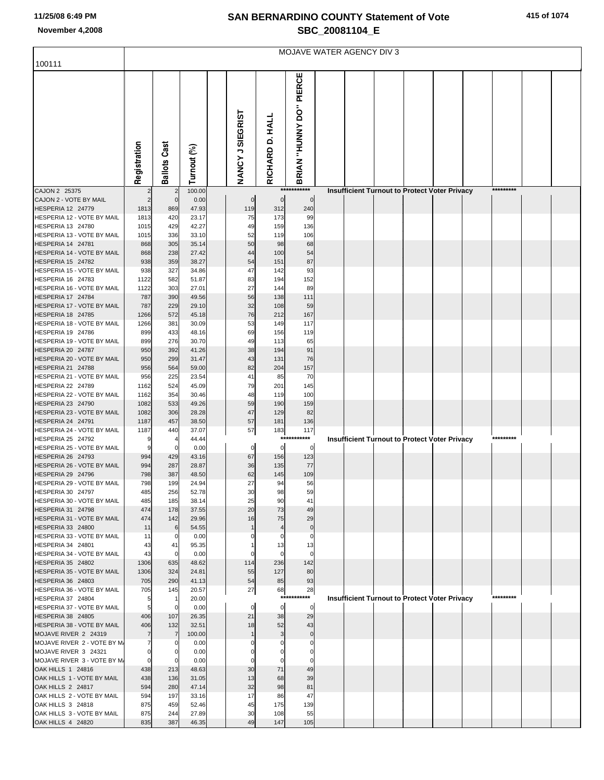## **SAN BERNARDINO COUNTY Statement of Vote November 4,2008 SBC\_20081104\_E**

|                                                        | MOJAVE WATER AGENCY DIV 3 |                     |                |  |                      |                    |                         |  |  |  |                                                      |  |  |           |  |  |
|--------------------------------------------------------|---------------------------|---------------------|----------------|--|----------------------|--------------------|-------------------------|--|--|--|------------------------------------------------------|--|--|-----------|--|--|
| 100111                                                 |                           |                     |                |  |                      |                    |                         |  |  |  |                                                      |  |  |           |  |  |
|                                                        | Registration              | <b>Ballots Cast</b> | Turnout (%)    |  | NANCY J SIEGRIST     | RICHARD D. HALL    | BRIAN "HUNNY DO" PIERCE |  |  |  |                                                      |  |  |           |  |  |
| CAJON 2 25375                                          |                           | $\overline{2}$      | 100.00         |  |                      |                    | ***********             |  |  |  | <b>Insufficient Turnout to Protect Voter Privacy</b> |  |  | ********* |  |  |
| CAJON 2 - VOTE BY MAIL<br>HESPERIA 12 24779            | 1813                      | $\mathbf 0$<br>869  | 0.00<br>47.93  |  | $\mathbf 0$<br>119   | $\mathbf 0$<br>312 | $\mathbf 0$<br>240      |  |  |  |                                                      |  |  |           |  |  |
| HESPERIA 12 - VOTE BY MAIL                             | 1813                      | 420                 | 23.17          |  | 75                   | 173                | 99                      |  |  |  |                                                      |  |  |           |  |  |
| HESPERIA 13 24780                                      | 1015                      | 429                 | 42.27          |  | 49                   | 159                | 136                     |  |  |  |                                                      |  |  |           |  |  |
| HESPERIA 13 - VOTE BY MAIL                             | 1015                      | 336                 | 33.10          |  | 52                   | 119                | 106                     |  |  |  |                                                      |  |  |           |  |  |
| <b>HESPERIA 14 24781</b>                               | 868                       | 305                 | 35.14          |  | 50                   | 98                 | 68                      |  |  |  |                                                      |  |  |           |  |  |
| HESPERIA 14 - VOTE BY MAIL<br><b>HESPERIA 15 24782</b> | 868<br>938                | 238<br>359          | 27.42<br>38.27 |  | 44<br>54             | 100<br>151         | 54<br>87                |  |  |  |                                                      |  |  |           |  |  |
| HESPERIA 15 - VOTE BY MAIL                             | 938                       | 327                 | 34.86          |  | 47                   | 142                | 93                      |  |  |  |                                                      |  |  |           |  |  |
| HESPERIA 16 24783                                      | 1122                      | 582                 | 51.87          |  | 83                   | 194                | 152                     |  |  |  |                                                      |  |  |           |  |  |
| HESPERIA 16 - VOTE BY MAIL                             | 1122                      | 303                 | 27.01          |  | 27                   | 144                | 89                      |  |  |  |                                                      |  |  |           |  |  |
| HESPERIA 17 24784                                      | 787                       | 390                 | 49.56          |  | 56                   | 138                | 111                     |  |  |  |                                                      |  |  |           |  |  |
| HESPERIA 17 - VOTE BY MAIL<br>HESPERIA 18 24785        | 787<br>1266               | 229<br>572          | 29.10<br>45.18 |  | 32<br>76             | 108<br>212         | 59<br>167               |  |  |  |                                                      |  |  |           |  |  |
| HESPERIA 18 - VOTE BY MAIL                             | 1266                      | 381                 | 30.09          |  | 53                   | 149                | 117                     |  |  |  |                                                      |  |  |           |  |  |
| HESPERIA 19 24786                                      | 899                       | 433                 | 48.16          |  | 69                   | 156                | 119                     |  |  |  |                                                      |  |  |           |  |  |
| HESPERIA 19 - VOTE BY MAIL                             | 899                       | 276                 | 30.70          |  | 49                   | 113                | 65                      |  |  |  |                                                      |  |  |           |  |  |
| HESPERIA 20 24787                                      | 950                       | 392                 | 41.26          |  | 38                   | 194                | 91                      |  |  |  |                                                      |  |  |           |  |  |
| HESPERIA 20 - VOTE BY MAIL<br>HESPERIA 21 24788        | 950<br>956                | 299<br>564          | 31.47<br>59.00 |  | 43<br>82             | 131<br>204         | 76<br>157               |  |  |  |                                                      |  |  |           |  |  |
| HESPERIA 21 - VOTE BY MAIL                             | 956                       | 225                 | 23.54          |  | 41                   | 85                 | 70                      |  |  |  |                                                      |  |  |           |  |  |
| HESPERIA 22 24789                                      | 1162                      | 524                 | 45.09          |  | 79                   | 201                | 145                     |  |  |  |                                                      |  |  |           |  |  |
| HESPERIA 22 - VOTE BY MAIL                             | 1162                      | 354                 | 30.46          |  | 48                   | 119                | 100                     |  |  |  |                                                      |  |  |           |  |  |
| HESPERIA 23 24790                                      | 1082                      | 533                 | 49.26          |  | 59                   | 190                | 159                     |  |  |  |                                                      |  |  |           |  |  |
| HESPERIA 23 - VOTE BY MAIL<br>HESPERIA 24 24791        | 1082<br>1187              | 306<br>457          | 28.28<br>38.50 |  | 47<br>57             | 129<br>181         | 82<br>136               |  |  |  |                                                      |  |  |           |  |  |
| HESPERIA 24 - VOTE BY MAIL                             | 1187                      | 440                 | 37.07          |  | 57                   | 183                | 117                     |  |  |  |                                                      |  |  |           |  |  |
| <b>HESPERIA 25 24792</b>                               | g                         |                     | 44.44          |  |                      | ***                | ****                    |  |  |  | <b>Insufficient Turnout to Protect Voter Privacy</b> |  |  | ********* |  |  |
| HESPERIA 25 - VOTE BY MAIL                             | 9                         | 0                   | 0.00           |  | $\overline{0}$       | $\mathbf 0$        | 0                       |  |  |  |                                                      |  |  |           |  |  |
| HESPERIA 26 24793                                      | 994                       | 429                 | 43.16          |  | 67                   | 156                | 123                     |  |  |  |                                                      |  |  |           |  |  |
| HESPERIA 26 - VOTE BY MAIL<br>HESPERIA 29 24796        | 994<br>798                | 287<br>387          | 28.87<br>48.50 |  | 36<br>62             | 135<br>145         | 77<br>109               |  |  |  |                                                      |  |  |           |  |  |
| HESPERIA 29 - VOTE BY MAIL                             | 798                       | 199                 | 24.94          |  | 27                   | 94                 | 56                      |  |  |  |                                                      |  |  |           |  |  |
| HESPERIA 30 24797                                      | 485                       | 256                 | 52.78          |  | 30                   | 98                 | 59                      |  |  |  |                                                      |  |  |           |  |  |
| HESPERIA 30 - VOTE BY MAIL                             | 485                       | 185                 | 38.14          |  | 25                   | 90                 | 41                      |  |  |  |                                                      |  |  |           |  |  |
| HESPERIA 31 24798<br>HESPERIA 31 - VOTE BY MAIL        | 474                       | 178<br>142          | 37.55<br>29.96 |  | 20<br>16             | 73<br>75           | 49<br>29                |  |  |  |                                                      |  |  |           |  |  |
| HESPERIA 33 24800                                      | 474<br>11                 | 6                   | 54.55          |  |                      | $\overline{4}$     | $\mathbf 0$             |  |  |  |                                                      |  |  |           |  |  |
| HESPERIA 33 - VOTE BY MAIL                             | 11                        | 0                   | 0.00           |  | $\Omega$             | $\Omega$           | 0                       |  |  |  |                                                      |  |  |           |  |  |
| HESPERIA 34 24801                                      | 43                        | 41                  | 95.35          |  |                      | 13                 | 13                      |  |  |  |                                                      |  |  |           |  |  |
| HESPERIA 34 - VOTE BY MAIL                             | 43                        | $\mathbf 0$         | 0.00           |  | $\Omega$             | $\mathbf 0$        | $\mathbf 0$             |  |  |  |                                                      |  |  |           |  |  |
| HESPERIA 35 24802<br>HESPERIA 35 - VOTE BY MAIL        | 1306<br>1306              | 635<br>324          | 48.62<br>24.81 |  | 114<br>55            | 236<br>127         | 142<br>80               |  |  |  |                                                      |  |  |           |  |  |
| HESPERIA 36 24803                                      | 705                       | 290                 | 41.13          |  | 54                   | 85                 | 93                      |  |  |  |                                                      |  |  |           |  |  |
| HESPERIA 36 - VOTE BY MAIL                             | 705                       | 145                 | 20.57          |  | 27                   | 68                 | 28                      |  |  |  |                                                      |  |  |           |  |  |
| HESPERIA 37 24804                                      | 5                         | -1                  | 20.00          |  |                      | $***$              | ****                    |  |  |  | <b>Insufficient Turnout to Protect Voter Privacy</b> |  |  | ********* |  |  |
| HESPERIA 37 - VOTE BY MAIL<br>HESPERIA 38 24805        | 5                         | $\mathbf 0$<br>107  | 0.00           |  | $\overline{0}$<br>21 | $\mathbf 0$<br>38  | $\mathbf 0$<br>29       |  |  |  |                                                      |  |  |           |  |  |
| HESPERIA 38 - VOTE BY MAIL                             | 406<br>406                | 132                 | 26.35<br>32.51 |  | 18                   | 52                 | 43                      |  |  |  |                                                      |  |  |           |  |  |
| MOJAVE RIVER 2 24319                                   |                           | 7                   | 100.00         |  | $\mathbf{1}$         | 3                  | $\pmb{0}$               |  |  |  |                                                      |  |  |           |  |  |
| MOJAVE RIVER 2 - VOTE BY M.                            |                           | 0                   | 0.00           |  | $\Omega$             | $\Omega$           | $\mathbf 0$             |  |  |  |                                                      |  |  |           |  |  |
| MOJAVE RIVER 3 24321                                   |                           | $\mathbf 0$         | 0.00           |  | $\Omega$             | O                  | $\Omega$                |  |  |  |                                                      |  |  |           |  |  |
| MOJAVE RIVER 3 - VOTE BY M.<br>OAK HILLS 1 24816       | $\Omega$<br>438           | $\mathbf 0$<br>213  | 0.00<br>48.63  |  | 0<br>30              | 0<br>71            | $\Omega$<br>49          |  |  |  |                                                      |  |  |           |  |  |
| OAK HILLS 1 - VOTE BY MAIL                             | 438                       | 136                 | 31.05          |  | 13                   | 68                 | 39                      |  |  |  |                                                      |  |  |           |  |  |
| OAK HILLS 2 24817                                      | 594                       | 280                 | 47.14          |  | 32                   | 98                 | 81                      |  |  |  |                                                      |  |  |           |  |  |
| OAK HILLS 2 - VOTE BY MAIL                             | 594                       | 197                 | 33.16          |  | 17                   | 86                 | 47                      |  |  |  |                                                      |  |  |           |  |  |
| OAK HILLS 3 24818                                      | 875                       | 459                 | 52.46          |  | 45                   | 175                | 139                     |  |  |  |                                                      |  |  |           |  |  |
| OAK HILLS 3 - VOTE BY MAIL<br>OAK HILLS 4 24820        | 875<br>835                | 244<br>387          | 27.89<br>46.35 |  | 30<br>49             | 108<br>147         | 55<br>105               |  |  |  |                                                      |  |  |           |  |  |
|                                                        |                           |                     |                |  |                      |                    |                         |  |  |  |                                                      |  |  |           |  |  |